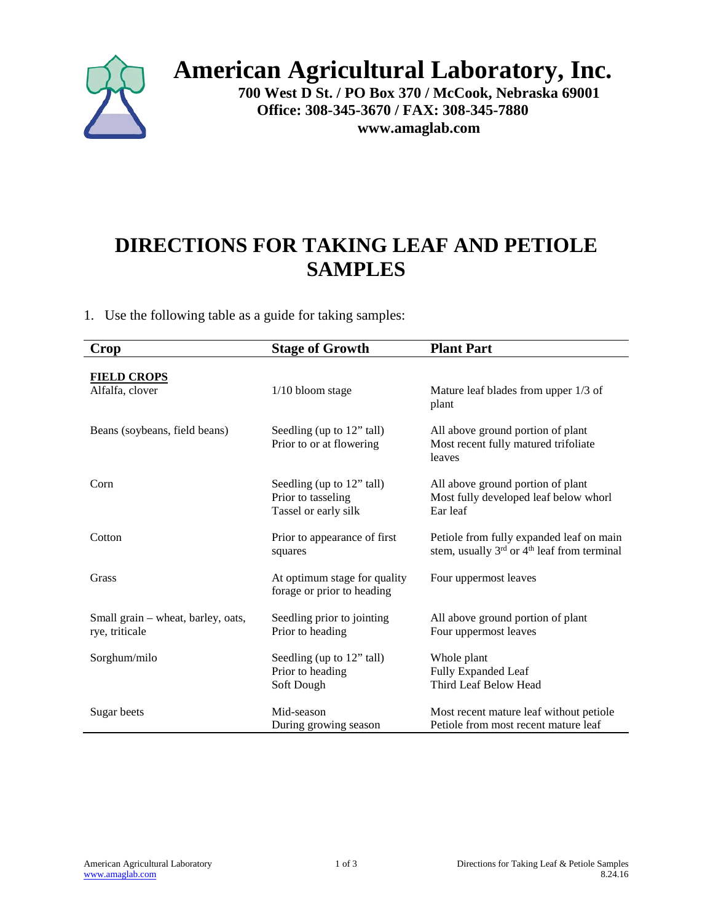

## **American Agricultural Laboratory, Inc.**

**700 West D St. / PO Box 370 / McCook, Nebraska 69001 Office: 308-345-3670 / FAX: 308-345-7880 www.amaglab.com**

## **DIRECTIONS FOR TAKING LEAF AND PETIOLE SAMPLES**

1. Use the following table as a guide for taking samples:

| Crop                               | <b>Stage of Growth</b>       | <b>Plant Part</b>                                                   |
|------------------------------------|------------------------------|---------------------------------------------------------------------|
|                                    |                              |                                                                     |
| <b>FIELD CROPS</b>                 |                              |                                                                     |
| Alfalfa, clover                    | $1/10$ bloom stage           | Mature leaf blades from upper 1/3 of<br>plant                       |
| Beans (soybeans, field beans)      | Seedling (up to 12" tall)    | All above ground portion of plant                                   |
|                                    | Prior to or at flowering     | Most recent fully matured trifoliate<br>leaves                      |
| Corn                               | Seedling (up to 12" tall)    | All above ground portion of plant                                   |
|                                    | Prior to tasseling           | Most fully developed leaf below whorl                               |
|                                    | Tassel or early silk         | Ear leaf                                                            |
| Cotton                             | Prior to appearance of first | Petiole from fully expanded leaf on main                            |
|                                    | squares                      | stem, usually 3 <sup>rd</sup> or 4 <sup>th</sup> leaf from terminal |
| Grass                              | At optimum stage for quality | Four uppermost leaves                                               |
|                                    | forage or prior to heading   |                                                                     |
| Small grain – wheat, barley, oats, | Seedling prior to jointing   | All above ground portion of plant                                   |
| rye, triticale                     | Prior to heading             | Four uppermost leaves                                               |
| Sorghum/milo                       | Seedling (up to 12" tall)    | Whole plant                                                         |
|                                    | Prior to heading             | <b>Fully Expanded Leaf</b>                                          |
|                                    | Soft Dough                   | Third Leaf Below Head                                               |
| Sugar beets                        | Mid-season                   | Most recent mature leaf without petiole                             |
|                                    | During growing season        | Petiole from most recent mature leaf                                |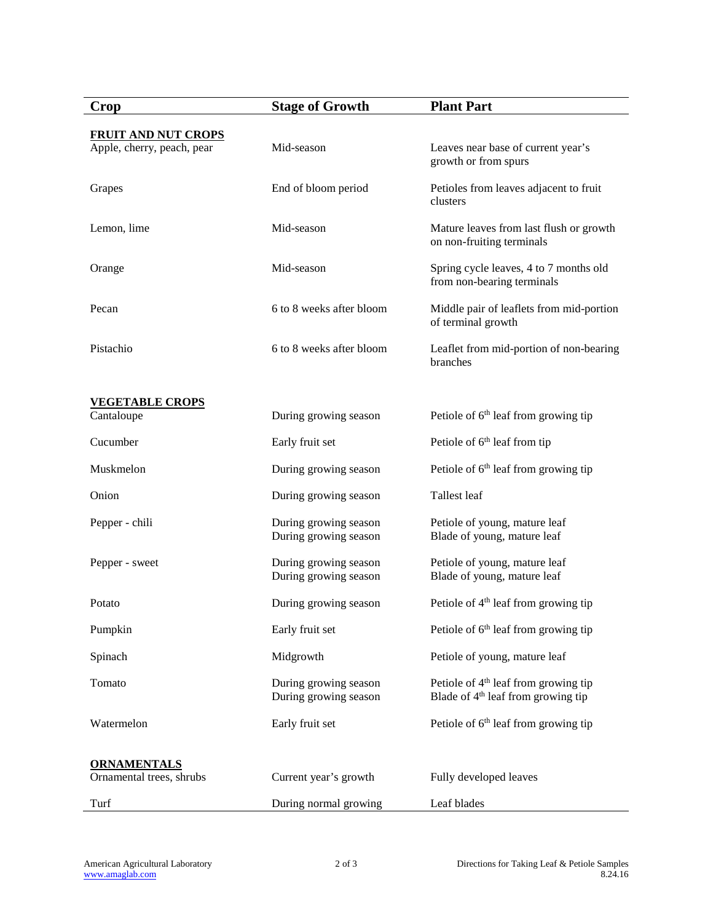| Crop                                           | <b>Stage of Growth</b>                         | <b>Plant Part</b>                                                                                  |
|------------------------------------------------|------------------------------------------------|----------------------------------------------------------------------------------------------------|
| <b>FRUIT AND NUT CROPS</b>                     |                                                |                                                                                                    |
| Apple, cherry, peach, pear                     | Mid-season                                     | Leaves near base of current year's<br>growth or from spurs                                         |
| Grapes                                         | End of bloom period                            | Petioles from leaves adjacent to fruit<br>clusters                                                 |
| Lemon, lime                                    | Mid-season                                     | Mature leaves from last flush or growth<br>on non-fruiting terminals                               |
| Orange                                         | Mid-season                                     | Spring cycle leaves, 4 to 7 months old<br>from non-bearing terminals                               |
| Pecan                                          | 6 to 8 weeks after bloom                       | Middle pair of leaflets from mid-portion<br>of terminal growth                                     |
| Pistachio                                      | 6 to 8 weeks after bloom                       | Leaflet from mid-portion of non-bearing<br>branches                                                |
|                                                |                                                |                                                                                                    |
| <b>VEGETABLE CROPS</b><br>Cantaloupe           | During growing season                          | Petiole of $6th$ leaf from growing tip                                                             |
| Cucumber                                       | Early fruit set                                | Petiole of 6 <sup>th</sup> leaf from tip                                                           |
| Muskmelon                                      | During growing season                          | Petiole of $6th$ leaf from growing tip                                                             |
| Onion                                          | During growing season                          | Tallest leaf                                                                                       |
| Pepper - chili                                 | During growing season<br>During growing season | Petiole of young, mature leaf<br>Blade of young, mature leaf                                       |
| Pepper - sweet                                 | During growing season<br>During growing season | Petiole of young, mature leaf<br>Blade of young, mature leaf                                       |
| Potato                                         | During growing season                          | Petiole of 4 <sup>th</sup> leaf from growing tip                                                   |
| Pumpkin                                        | Early fruit set                                | Petiole of $6th$ leaf from growing tip                                                             |
| Spinach                                        | Midgrowth                                      | Petiole of young, mature leaf                                                                      |
| Tomato                                         | During growing season<br>During growing season | Petiole of 4 <sup>th</sup> leaf from growing tip<br>Blade of 4 <sup>th</sup> leaf from growing tip |
| Watermelon                                     | Early fruit set                                | Petiole of 6 <sup>th</sup> leaf from growing tip                                                   |
|                                                |                                                |                                                                                                    |
| <b>ORNAMENTALS</b><br>Ornamental trees, shrubs | Current year's growth                          | Fully developed leaves                                                                             |
| Turf                                           | During normal growing                          | Leaf blades                                                                                        |